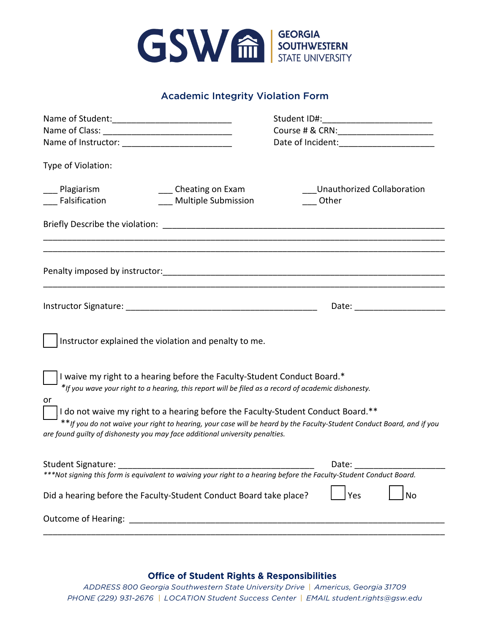

## Academic Integrity Violation Form

|                                                                                                                                                                                                                                                                                                                                                                                                                                                                                    | Course # & CRN: _________________________                                                                                                                                                                                      |
|------------------------------------------------------------------------------------------------------------------------------------------------------------------------------------------------------------------------------------------------------------------------------------------------------------------------------------------------------------------------------------------------------------------------------------------------------------------------------------|--------------------------------------------------------------------------------------------------------------------------------------------------------------------------------------------------------------------------------|
|                                                                                                                                                                                                                                                                                                                                                                                                                                                                                    | Date of Incident: _______________________                                                                                                                                                                                      |
| Type of Violation:                                                                                                                                                                                                                                                                                                                                                                                                                                                                 |                                                                                                                                                                                                                                |
| ___ Plagiarism<br>____ Cheating on Exam<br>__ Falsification<br>Multiple Submission                                                                                                                                                                                                                                                                                                                                                                                                 | Unauthorized Collaboration<br>Other                                                                                                                                                                                            |
|                                                                                                                                                                                                                                                                                                                                                                                                                                                                                    |                                                                                                                                                                                                                                |
|                                                                                                                                                                                                                                                                                                                                                                                                                                                                                    |                                                                                                                                                                                                                                |
|                                                                                                                                                                                                                                                                                                                                                                                                                                                                                    | Date: the contract of the contract of the contract of the contract of the contract of the contract of the contract of the contract of the contract of the contract of the contract of the contract of the contract of the cont |
| Instructor explained the violation and penalty to me.                                                                                                                                                                                                                                                                                                                                                                                                                              |                                                                                                                                                                                                                                |
| I waive my right to a hearing before the Faculty-Student Conduct Board.*<br>*If you wave your right to a hearing, this report will be filed as a record of academic dishonesty.<br>or<br>I do not waive my right to a hearing before the Faculty-Student Conduct Board.**<br>**If you do not waive your right to hearing, your case will be heard by the Faculty-Student Conduct Board, and if you<br>are found guilty of dishonesty you may face additional university penalties. |                                                                                                                                                                                                                                |
| Student Signature:                                                                                                                                                                                                                                                                                                                                                                                                                                                                 | Date:                                                                                                                                                                                                                          |
| ***Not signing this form is equivalent to waiving your right to a hearing before the Faculty-Student Conduct Board.                                                                                                                                                                                                                                                                                                                                                                |                                                                                                                                                                                                                                |
| Did a hearing before the Faculty-Student Conduct Board take place?                                                                                                                                                                                                                                                                                                                                                                                                                 | <b>No</b><br>Yes                                                                                                                                                                                                               |
|                                                                                                                                                                                                                                                                                                                                                                                                                                                                                    |                                                                                                                                                                                                                                |

## **Office of Student Rights & Responsibilities**

*ADDRESS 800 Georgia Southwestern State University Drive | Americus, Georgia 31709 PHONE (229) 931-2676 | LOCATION Student Success Center | EMAIL student.rights@gsw.edu*